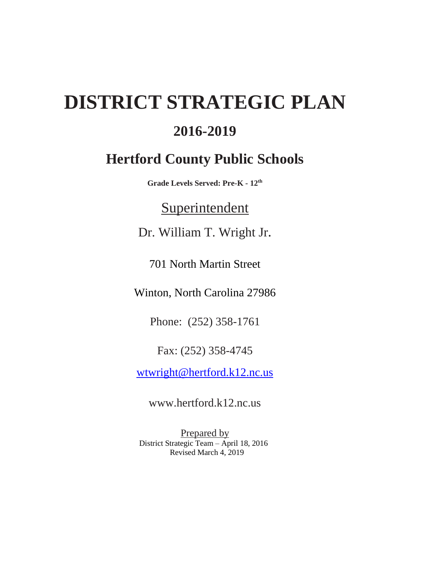# **DISTRICT STRATEGIC PLAN**

# **2016-2019**

# **Hertford County Public Schools**

**Grade Levels Served: Pre-K - 12th**

# **Superintendent**

Dr. William T. Wright Jr.

701 North Martin Street

Winton, North Carolina 27986

Phone: (252) 358-1761

Fax: (252) 358-4745

[wtwright@hertford.k12.nc.us](mailto:wtwright@hertford.k12.nc.us)

[www.hertford.k12.nc.us](http://www.hertford.k12.nc.us/)

Prepared by District Strategic Team – April 18, 2016 Revised March 4, 2019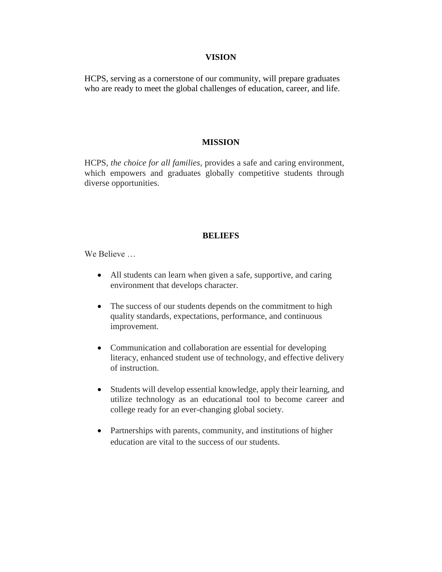#### **VISION**

HCPS, serving as a cornerstone of our community, will prepare graduates who are ready to meet the global challenges of education, career, and life.

#### **MISSION**

HCPS, *the choice for all families*, provides a safe and caring environment, which empowers and graduates globally competitive students through diverse opportunities.

#### **BELIEFS**

We Believe …

- All students can learn when given a safe, supportive, and caring environment that develops character.
- The success of our students depends on the commitment to high quality standards, expectations, performance, and continuous improvement.
- Communication and collaboration are essential for developing literacy, enhanced student use of technology, and effective delivery of instruction.
- Students will develop essential knowledge, apply their learning, and utilize technology as an educational tool to become career and college ready for an ever-changing global society.
- Partnerships with parents, community, and institutions of higher education are vital to the success of our students.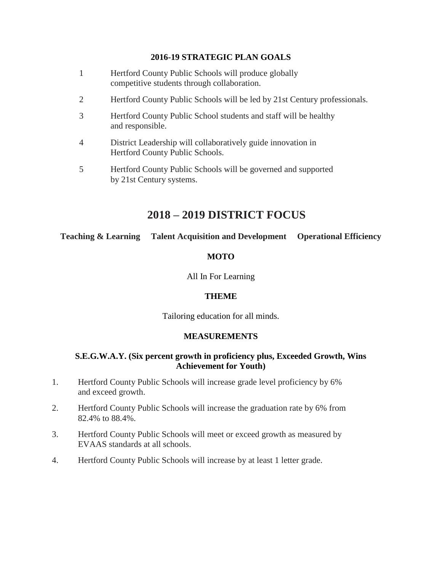#### **2016-19 STRATEGIC PLAN GOALS**

- 1 Hertford County Public Schools will produce globally competitive students through collaboration.
- 2 Hertford County Public Schools will be led by 21st Century professionals.
- 3 Hertford County Public School students and staff will be healthy and responsible.
- 4 District Leadership will collaboratively guide innovation in Hertford County Public Schools.
- 5 Hertford County Public Schools will be governed and supported by 21st Century systems.

# **2018 – 2019 DISTRICT FOCUS**

**Teaching & Learning Talent Acquisition and Development Operational Efficiency**

#### **MOTO**

All In For Learning

#### **THEME**

Tailoring education for all minds.

#### **MEASUREMENTS**

#### **S.E.G.W.A.Y. (Six percent growth in proficiency plus, Exceeded Growth, Wins Achievement for Youth)**

- 1. Hertford County Public Schools will increase grade level proficiency by 6% and exceed growth.
- 2. Hertford County Public Schools will increase the graduation rate by 6% from 82.4% to 88.4%.
- 3. Hertford County Public Schools will meet or exceed growth as measured by EVAAS standards at all schools.
- 4. Hertford County Public Schools will increase by at least 1 letter grade.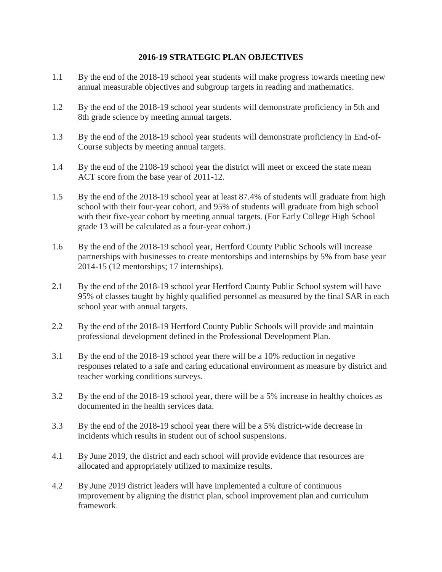#### **2016-19 STRATEGIC PLAN OBJECTIVES**

- 1.1 By the end of the 2018-19 school year students will make progress towards meeting new annual measurable objectives and subgroup targets in reading and mathematics.
- 1.2 By the end of the 2018-19 school year students will demonstrate proficiency in 5th and 8th grade science by meeting annual targets.
- 1.3 By the end of the 2018-19 school year students will demonstrate proficiency in End-of-Course subjects by meeting annual targets.
- 1.4 By the end of the 2108-19 school year the district will meet or exceed the state mean ACT score from the base year of 2011-12.
- 1.5 By the end of the 2018-19 school year at least 87.4% of students will graduate from high school with their four-year cohort, and 95% of students will graduate from high school with their five-year cohort by meeting annual targets. (For Early College High School grade 13 will be calculated as a four-year cohort.)
- 1.6 By the end of the 2018-19 school year, Hertford County Public Schools will increase partnerships with businesses to create mentorships and internships by 5% from base year 2014-15 (12 mentorships; 17 internships).
- 2.1 By the end of the 2018-19 school year Hertford County Public School system will have 95% of classes taught by highly qualified personnel as measured by the final SAR in each school year with annual targets.
- 2.2 By the end of the 2018-19 Hertford County Public Schools will provide and maintain professional development defined in the Professional Development Plan.
- 3.1 By the end of the 2018-19 school year there will be a 10% reduction in negative responses related to a safe and caring educational environment as measure by district and teacher working conditions surveys.
- 3.2 By the end of the 2018-19 school year, there will be a 5% increase in healthy choices as documented in the health services data.
- 3.3 By the end of the 2018-19 school year there will be a 5% district-wide decrease in incidents which results in student out of school suspensions.
- 4.1 By June 2019, the district and each school will provide evidence that resources are allocated and appropriately utilized to maximize results.
- 4.2 By June 2019 district leaders will have implemented a culture of continuous improvement by aligning the district plan, school improvement plan and curriculum framework.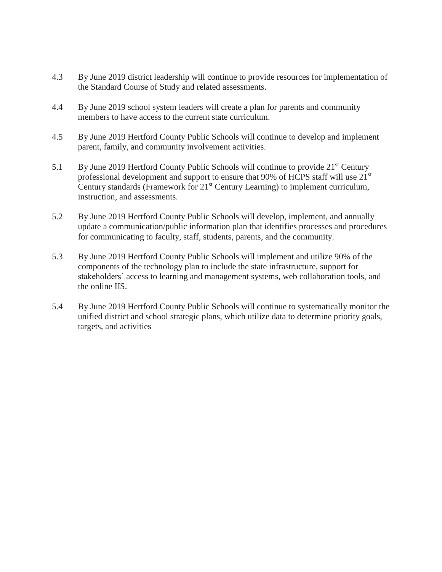- 4.3 By June 2019 district leadership will continue to provide resources for implementation of the Standard Course of Study and related assessments.
- 4.4 By June 2019 school system leaders will create a plan for parents and community members to have access to the current state curriculum.
- 4.5 By June 2019 Hertford County Public Schools will continue to develop and implement parent, family, and community involvement activities.
- 5.1 By June 2019 Hertford County Public Schools will continue to provide 21<sup>st</sup> Century professional development and support to ensure that 90% of HCPS staff will use 21<sup>st</sup> Century standards (Framework for 21<sup>st</sup> Century Learning) to implement curriculum, instruction, and assessments.
- 5.2 By June 2019 Hertford County Public Schools will develop, implement, and annually update a communication/public information plan that identifies processes and procedures for communicating to faculty, staff, students, parents, and the community.
- 5.3 By June 2019 Hertford County Public Schools will implement and utilize 90% of the components of the technology plan to include the state infrastructure, support for stakeholders' access to learning and management systems, web collaboration tools, and the online IIS.
- 5.4 By June 2019 Hertford County Public Schools will continue to systematically monitor the unified district and school strategic plans, which utilize data to determine priority goals, targets, and activities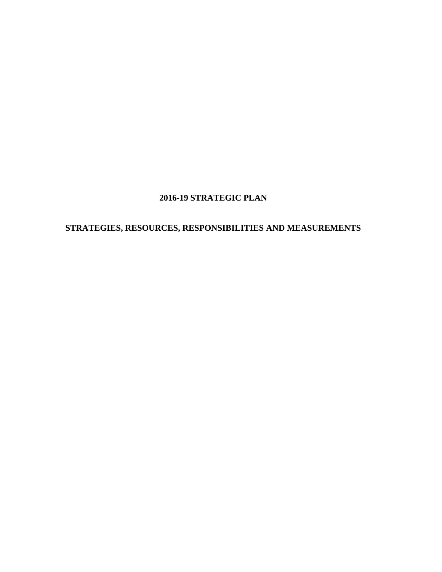### **2016-19 STRATEGIC PLAN**

# **STRATEGIES, RESOURCES, RESPONSIBILITIES AND MEASUREMENTS**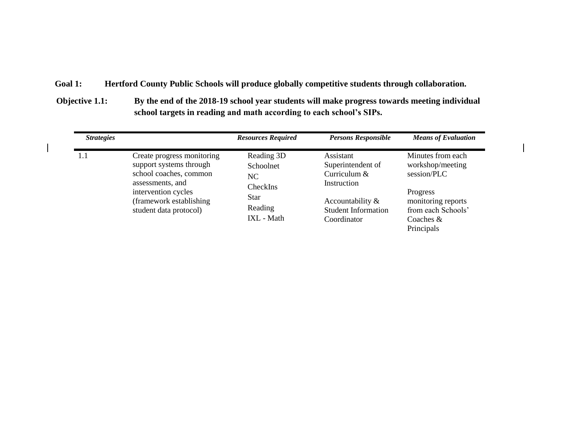#### **Goal 1: Hertford County Public Schools will produce globally competitive students through collaboration.**

**Objective 1.1: By the end of the 2018-19 school year students will make progress towards meeting individual school targets in reading and math according to each school's SIPs.**

| <b>Strategies</b> |                                                                                                                                                                                  | <b>Resources Required</b>                                                         | <b>Persons Responsible</b>                                                                                                       | <b>Means of Evaluation</b>                                                                                                                |
|-------------------|----------------------------------------------------------------------------------------------------------------------------------------------------------------------------------|-----------------------------------------------------------------------------------|----------------------------------------------------------------------------------------------------------------------------------|-------------------------------------------------------------------------------------------------------------------------------------------|
| 1.1               | Create progress monitoring<br>support systems through<br>school coaches, common<br>assessments, and<br>intervention cycles<br>(framework establishing)<br>student data protocol) | Reading 3D<br>Schoolnet<br>NC<br>CheckIns<br><b>Star</b><br>Reading<br>IXL - Math | Assistant<br>Superintendent of<br>Curriculum $&$<br>Instruction<br>Accountability &<br><b>Student Information</b><br>Coordinator | Minutes from each<br>workshop/meeting<br>session/PLC<br>Progress<br>monitoring reports<br>from each Schools'<br>Coaches $&$<br>Principals |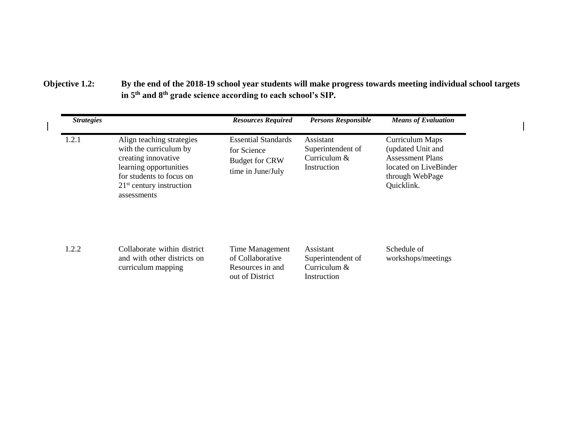**Objective 1.2: By the end of the 2018-19 school year students will make progress towards meeting individual school targets in 5th and 8th grade science according to each school's SIP.**

| <b>Strategies</b> |                                                                                                                                                                               | <b>Resources Required</b>                                                               | <b>Persons Responsible</b>                                      | <b>Means of Evaluation</b>                                                                                                |
|-------------------|-------------------------------------------------------------------------------------------------------------------------------------------------------------------------------|-----------------------------------------------------------------------------------------|-----------------------------------------------------------------|---------------------------------------------------------------------------------------------------------------------------|
| 1.2.1             | Align teaching strategies<br>with the curriculum by<br>creating innovative<br>learning opportunities<br>for students to focus on<br>$21st$ century instruction<br>assessments | <b>Essential Standards</b><br>for Science<br><b>Budget for CRW</b><br>time in June/July | Assistant<br>Superintendent of<br>Curriculum $&$<br>Instruction | Curriculum Maps<br>(updated Unit and<br><b>Assessment Plans</b><br>located on LiveBinder<br>through WebPage<br>Quicklink. |
| 1.2.2             | Collaborate within district<br>and with other districts on<br>curriculum mapping                                                                                              | Time Management<br>of Collaborative<br>Resources in and<br>out of District              | Assistant<br>Superintendent of<br>Curriculum $&$<br>Instruction | Schedule of<br>workshops/meetings                                                                                         |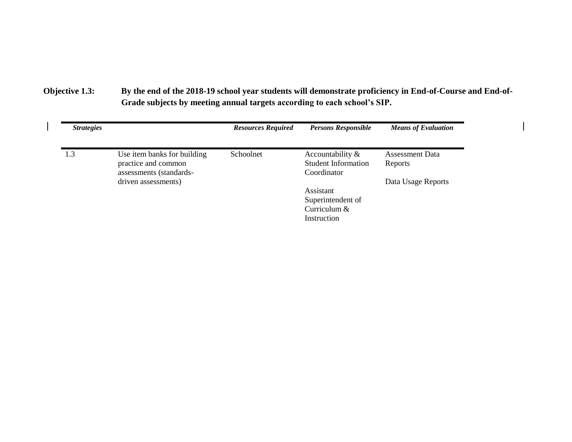# **Objective 1.3: By the end of the 2018-19 school year students will demonstrate proficiency in End-of-Course and End-of-Grade subjects by meeting annual targets according to each school's SIP.**

| <b>Strategies</b> |                                                | <b>Resources Required</b> | <b>Persons Responsible</b> | <b>Means of Evaluation</b> |
|-------------------|------------------------------------------------|---------------------------|----------------------------|----------------------------|
| 1.3               | Use item banks for building                    | Schoolnet                 | Accountability $\&$        | <b>Assessment Data</b>     |
|                   | practice and common                            |                           | <b>Student Information</b> | Reports                    |
|                   | assessments (standards-<br>driven assessments) |                           | Coordinator                | Data Usage Reports         |
|                   |                                                |                           | Assistant                  |                            |
|                   |                                                |                           | Superintendent of          |                            |
|                   |                                                |                           | Curriculum &               |                            |
|                   |                                                |                           | Instruction                |                            |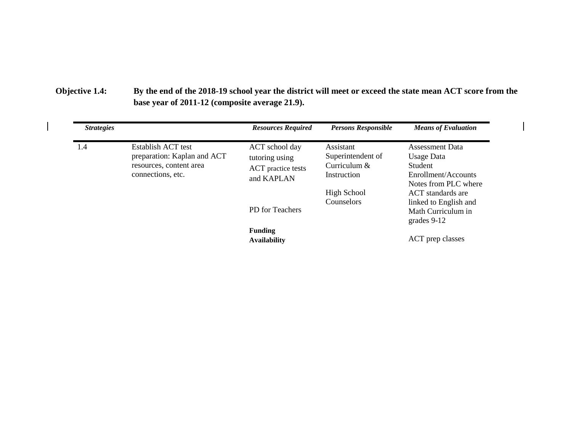# **Objective 1.4: By the end of the 2018-19 school year the district will meet or exceed the state mean ACT score from the base year of 2011-12 (composite average 21.9).**

| <b>Strategies</b> |                                                                                                   | <b>Resources Required</b>                                            | <b>Persons Responsible</b>                                    | <b>Means of Evaluation</b>                                                                     |
|-------------------|---------------------------------------------------------------------------------------------------|----------------------------------------------------------------------|---------------------------------------------------------------|------------------------------------------------------------------------------------------------|
| 1.4               | Establish ACT test<br>preparation: Kaplan and ACT<br>resources, content area<br>connections, etc. | ACT school day<br>tutoring using<br>ACT practice tests<br>and KAPLAN | Assistant<br>Superintendent of<br>Curriculum &<br>Instruction | <b>Assessment Data</b><br>Usage Data<br>Student<br>Enrollment/Accounts<br>Notes from PLC where |
|                   |                                                                                                   | PD for Teachers                                                      | <b>High School</b><br>Counselors                              | ACT standards are<br>linked to English and<br>Math Curriculum in<br>grades $9-12$              |
|                   |                                                                                                   | <b>Funding</b><br><b>Availability</b>                                |                                                               | ACT prep classes                                                                               |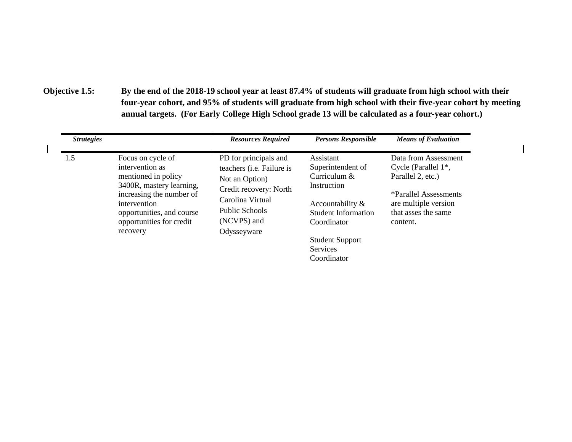**Objective 1.5: By the end of the 2018-19 school year at least 87.4% of students will graduate from high school with their four-year cohort, and 95% of students will graduate from high school with their five-year cohort by meeting annual targets. (For Early College High School grade 13 will be calculated as a four-year cohort.)**

| <b>Strategies</b> |                                                                                                                               | <b>Resources Required</b>                                                                                                    | <b>Persons Responsible</b>                                    | <b>Means of Evaluation</b>                                                                            |
|-------------------|-------------------------------------------------------------------------------------------------------------------------------|------------------------------------------------------------------------------------------------------------------------------|---------------------------------------------------------------|-------------------------------------------------------------------------------------------------------|
| 1.5               | Focus on cycle of<br>intervention as<br>mentioned in policy                                                                   | PD for principals and<br>teachers ( <i>i.e.</i> Failure is                                                                   | Assistant<br>Superintendent of                                | Data from Assessment<br>Cycle (Parallel $1^*$ ,                                                       |
|                   | 3400R, mastery learning,<br>increasing the number of<br>intervention<br>opportunities, and course<br>opportunities for credit | Curriculum &<br>Not an Option)<br>Instruction<br>Credit recovery: North<br>Carolina Virtual<br>Public Schools<br>(NCVPS) and | Accountability &<br><b>Student Information</b><br>Coordinator | Parallel 2, etc.)<br>*Parallel Assessments<br>are multiple version<br>that asses the same<br>content. |
|                   | recovery                                                                                                                      | Odysseyware                                                                                                                  | <b>Student Support</b><br><b>Services</b><br>Coordinator      |                                                                                                       |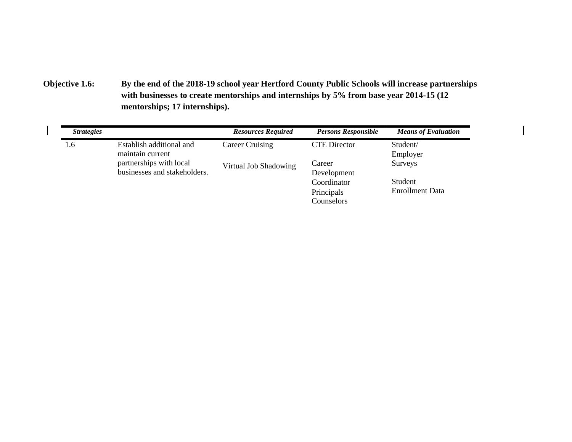**Objective 1.6: By the end of the 2018-19 school year Hertford County Public Schools will increase partnerships with businesses to create mentorships and internships by 5% from base year 2014-15 (12 mentorships; 17 internships).**

| <i>Strategies</i> |                                              | <b>Resources Required</b> | <b>Persons Responsible</b> | <b>Means of Evaluation</b> |
|-------------------|----------------------------------------------|---------------------------|----------------------------|----------------------------|
| 1.6               | Establish additional and<br>maintain current | Career Cruising           | <b>CTE</b> Director        | Student/<br>Employer       |
|                   | partnerships with local                      | Virtual Job Shadowing     | Career                     | Surveys                    |
|                   | businesses and stakeholders.                 |                           | Development                |                            |
|                   |                                              |                           | Coordinator                | Student                    |
|                   |                                              |                           | Principals                 | <b>Enrollment Data</b>     |
|                   |                                              |                           | Counselors                 |                            |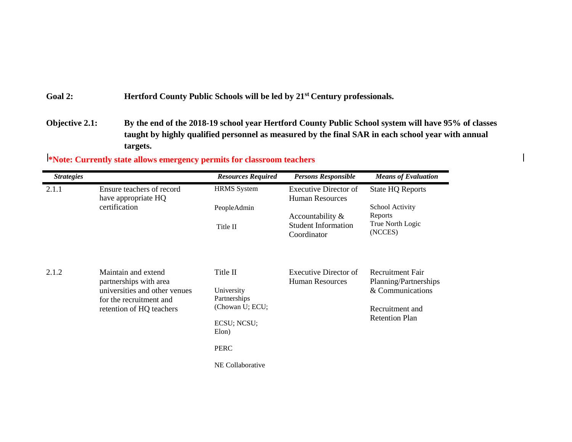Goal 2: **Hertford County Public Schools will be led by 21<sup>st</sup> Century professionals.** 

**Objective 2.1: By the end of the 2018-19 school year Hertford County Public School system will have 95% of classes taught by highly qualified personnel as measured by the final SAR in each school year with annual targets.**

*Strategies Resources Required Persons Responsible Means of Evaluation* 2.1.1 Ensure teachers of record have appropriate HQ certification HRMS System PeopleAdmin Title II Executive Director of Human Resources Accountability & Student Information Coordinator State HQ Reports School Activity Reports True North Logic (NCCES) 2.1.2 Maintain and extend partnerships with area universities and other venues for the recruitment and retention of HQ teachers Title II University Partnerships (Chowan U; ECU; ECSU; NCSU; Elon) PERC NE Collaborative Executive Director of Human Resources Recruitment Fair Planning/Partnerships & Communications Recruitment and Retention Plan

**\*Note: Currently state allows emergency permits for classroom teachers**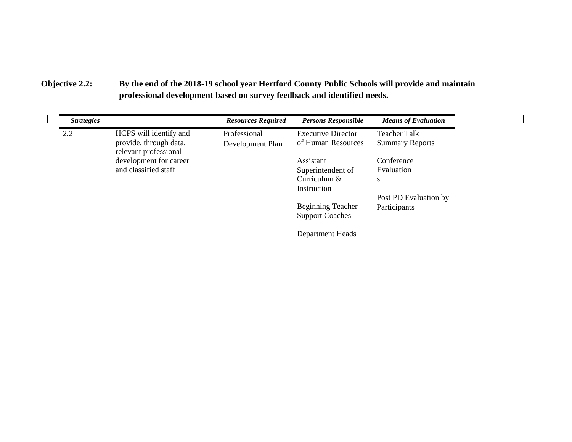### **Objective 2.2: By the end of the 2018-19 school year Hertford County Public Schools will provide and maintain professional development based on survey feedback and identified needs.**

| <b>Strategies</b> |                                                 | <b>Resources Required</b> | <b>Persons Responsible</b> | <b>Means of Evaluation</b> |
|-------------------|-------------------------------------------------|---------------------------|----------------------------|----------------------------|
| 2.2               | HCPS will identify and                          | Professional              | <b>Executive Director</b>  | <b>Teacher Talk</b>        |
|                   | provide, through data,<br>relevant professional | Development Plan          | of Human Resources         | <b>Summary Reports</b>     |
|                   | development for career                          |                           | Assistant                  | Conference                 |
|                   | and classified staff                            |                           | Superintendent of          | Evaluation                 |
|                   |                                                 |                           | Curriculum $&$             | S                          |
|                   |                                                 |                           | Instruction                |                            |
|                   |                                                 |                           |                            | Post PD Evaluation by      |
|                   |                                                 |                           | <b>Beginning Teacher</b>   | Participants               |
|                   |                                                 |                           | <b>Support Coaches</b>     |                            |
|                   |                                                 |                           | Department Heads           |                            |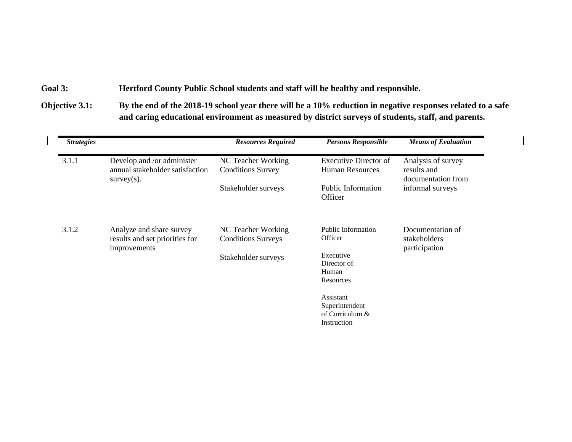**Goal 3: Hertford County Public School students and staff will be healthy and responsible.**

**Objective 3.1: By the end of the 2018-19 school year there will be a 10% reduction in negative responses related to a safe and caring educational environment as measured by district surveys of students, staff, and parents.**

| <b>Strategies</b>      |                                                               | <b>Resources Required</b>                       | <b>Persons Responsible</b>                                      | <b>Means of Evaluation</b>             |
|------------------------|---------------------------------------------------------------|-------------------------------------------------|-----------------------------------------------------------------|----------------------------------------|
| 3.1.1<br>$survey(s)$ . | Develop and /or administer<br>annual stakeholder satisfaction | NC Teacher Working<br><b>Conditions Survey</b>  | <b>Executive Director of</b><br><b>Human Resources</b>          | Analysis of survey<br>results and      |
|                        |                                                               | Stakeholder surveys                             | <b>Public Information</b><br>Officer                            | documentation from<br>informal surveys |
| 3.1.2                  | Analyze and share survey<br>results and set priorities for    | NC Teacher Working<br><b>Conditions Surveys</b> | <b>Public Information</b><br>Officer                            | Documentation of<br>stakeholders       |
| improvements           |                                                               | Stakeholder surveys                             | Executive<br>Director of<br>Human<br>Resources                  | participation                          |
|                        |                                                               |                                                 | Assistant<br>Superintendent<br>of Curriculum $&$<br>Instruction |                                        |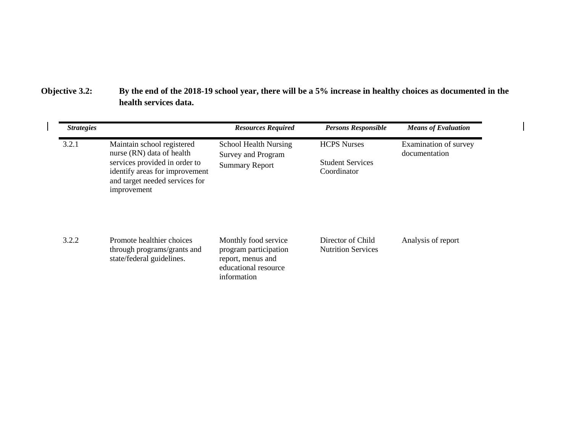**Objective 3.2: By the end of the 2018-19 school year, there will be a 5% increase in healthy choices as documented in the health services data.**

| <b>Strategies</b> |                                                                                                                                                                             | <b>Resources Required</b>                                                                                 | <b>Persons Responsible</b>                                   | <b>Means of Evaluation</b>             |
|-------------------|-----------------------------------------------------------------------------------------------------------------------------------------------------------------------------|-----------------------------------------------------------------------------------------------------------|--------------------------------------------------------------|----------------------------------------|
| 3.2.1             | Maintain school registered<br>nurse (RN) data of health<br>services provided in order to<br>identify areas for improvement<br>and target needed services for<br>improvement | <b>School Health Nursing</b><br><b>Survey and Program</b><br><b>Summary Report</b>                        | <b>HCPS</b> Nurses<br><b>Student Services</b><br>Coordinator | Examination of survey<br>documentation |
| 3.2.2             | Promote healthier choices<br>through programs/grants and<br>state/federal guidelines.                                                                                       | Monthly food service<br>program participation<br>report, menus and<br>educational resource<br>information | Director of Child<br><b>Nutrition Services</b>               | Analysis of report                     |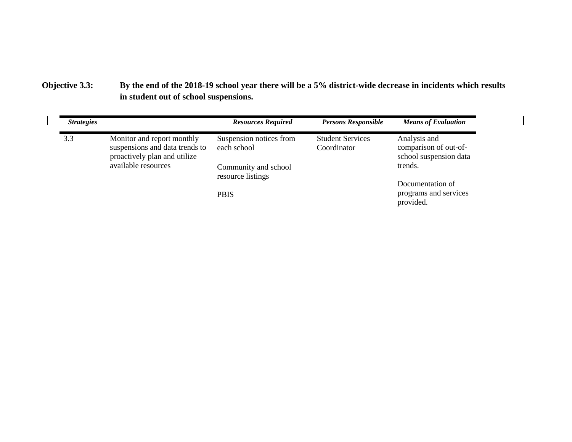### **Objective 3.3: By the end of the 2018-19 school year there will be a 5% district-wide decrease in incidents which results in student out of school suspensions.**

| <b>Strategies</b> |                                                                                                                     | <b>Resources Required</b>                                      | <b>Persons Responsible</b>             | <b>Means of Evaluation</b>                                                 |
|-------------------|---------------------------------------------------------------------------------------------------------------------|----------------------------------------------------------------|----------------------------------------|----------------------------------------------------------------------------|
| 3.3               | Monitor and report monthly<br>suspensions and data trends to<br>proactively plan and utilize<br>available resources | Suspension notices from<br>each school<br>Community and school | <b>Student Services</b><br>Coordinator | Analysis and<br>comparison of out-of-<br>school suspension data<br>trends. |
|                   |                                                                                                                     | resource listings                                              |                                        | Documentation of                                                           |
|                   |                                                                                                                     | <b>PBIS</b>                                                    |                                        | programs and services<br>provided.                                         |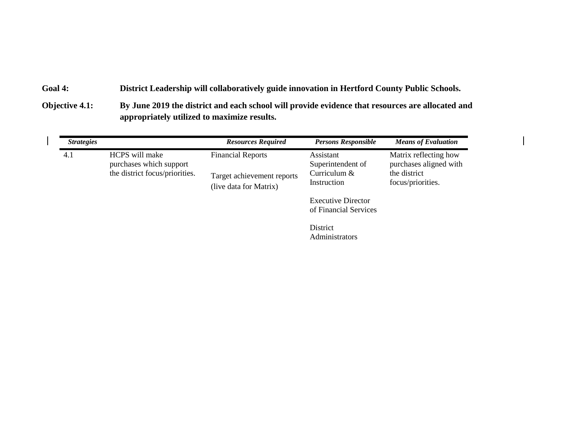### **Goal 4: District Leadership will collaboratively guide innovation in Hertford County Public Schools.**

 $\overline{\phantom{a}}$ 

**Objective 4.1: By June 2019 the district and each school will provide evidence that resources are allocated and appropriately utilized to maximize results.**

| <b>Strategies</b> |                                           | <b>Resources Required</b>                            | <b>Persons Responsible</b>                         | <b>Means of Evaluation</b>                      |
|-------------------|-------------------------------------------|------------------------------------------------------|----------------------------------------------------|-------------------------------------------------|
| 4.1               | HCPS will make<br>purchases which support | <b>Financial Reports</b>                             | Assistant<br>Superintendent of                     | Matrix reflecting how<br>purchases aligned with |
|                   | the district focus/priorities.            | Target achievement reports<br>(live data for Matrix) | Curriculum &<br>Instruction                        | the district<br>focus/priorities.               |
|                   |                                           |                                                      | <b>Executive Director</b><br>of Financial Services |                                                 |
|                   |                                           |                                                      | District<br>Administrators                         |                                                 |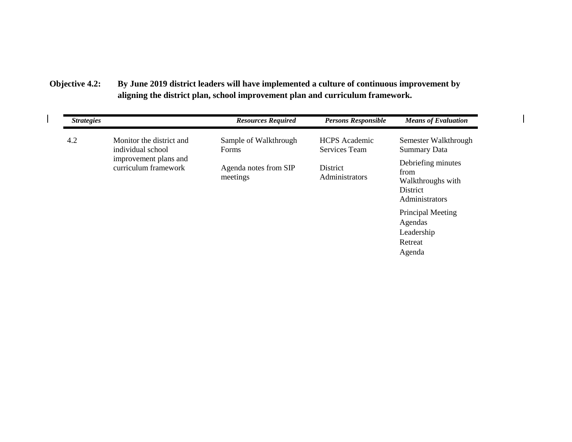**Objective 4.2: By June 2019 district leaders will have implemented a culture of continuous improvement by aligning the district plan, school improvement plan and curriculum framework.**

 $\overline{\phantom{a}}$ 

| <b>Strategies</b> |                                               | <b>Resources Required</b>         | <b>Persons Responsible</b>            | <b>Means of Evaluation</b>                                                    |
|-------------------|-----------------------------------------------|-----------------------------------|---------------------------------------|-------------------------------------------------------------------------------|
| 4.2               | Monitor the district and<br>individual school | Sample of Walkthrough<br>Forms    | <b>HCPS</b> Academic<br>Services Team | Semester Walkthrough<br><b>Summary Data</b>                                   |
|                   | improvement plans and<br>curriculum framework | Agenda notes from SIP<br>meetings | District<br>Administrators            | Debriefing minutes<br>from<br>Walkthroughs with<br>District<br>Administrators |
|                   |                                               |                                   |                                       | Principal Meeting<br>Agendas<br>Leadership                                    |
|                   |                                               |                                   |                                       | Retreat                                                                       |
|                   |                                               |                                   |                                       | Agenda                                                                        |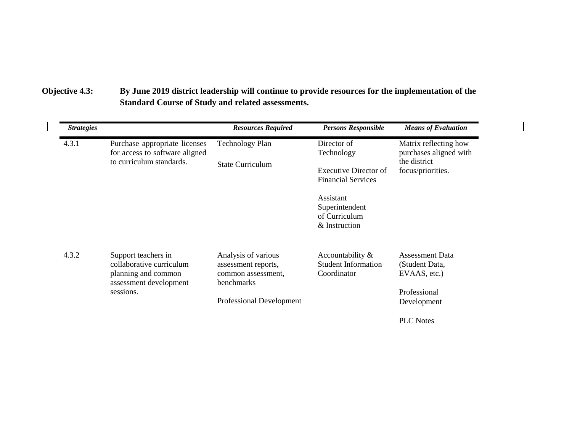# **Objective 4.3: By June 2019 district leadership will continue to provide resources for the implementation of the Standard Course of Study and related assessments.**

| <b>Strategies</b> |                                                                                                               | <b>Resources Required</b>                                                                                  | <b>Persons Responsible</b>                                                                                                                       | <b>Means of Evaluation</b>                                                              |
|-------------------|---------------------------------------------------------------------------------------------------------------|------------------------------------------------------------------------------------------------------------|--------------------------------------------------------------------------------------------------------------------------------------------------|-----------------------------------------------------------------------------------------|
| 4.3.1             | Purchase appropriate licenses<br>for access to software aligned<br>to curriculum standards.                   | <b>Technology Plan</b><br><b>State Curriculum</b>                                                          | Director of<br>Technology<br>Executive Director of<br><b>Financial Services</b><br>Assistant<br>Superintendent<br>of Curriculum<br>& Instruction | Matrix reflecting how<br>purchases aligned with<br>the district<br>focus/priorities.    |
| 4.3.2             | Support teachers in<br>collaborative curriculum<br>planning and common<br>assessment development<br>sessions. | Analysis of various<br>assessment reports,<br>common assessment,<br>benchmarks<br>Professional Development | Accountability &<br><b>Student Information</b><br>Coordinator                                                                                    | <b>Assessment Data</b><br>(Student Data,<br>EVAAS, etc.)<br>Professional<br>Development |
|                   |                                                                                                               |                                                                                                            |                                                                                                                                                  | <b>PLC</b> Notes                                                                        |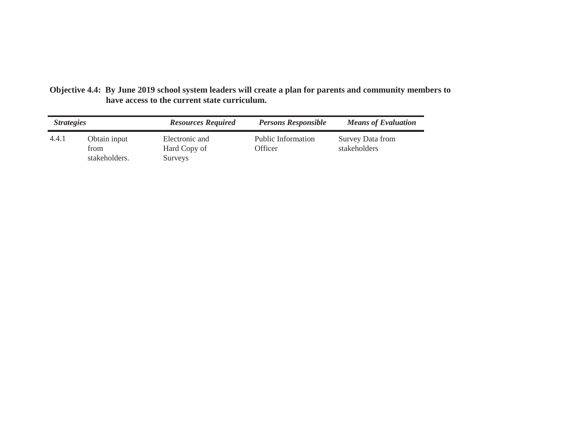| Objective 4.4: By June 2019 school system leaders will create a plan for parents and community members to |
|-----------------------------------------------------------------------------------------------------------|
| have access to the current state curriculum.                                                              |

| <i>Strategies</i> |                                       | <b>Resources Required</b>                        | <b>Persons Responsible</b>           | <b>Means of Evaluation</b>       |
|-------------------|---------------------------------------|--------------------------------------------------|--------------------------------------|----------------------------------|
| 4.4.1             | Obtain input<br>from<br>stakeholders. | Electronic and<br>Hard Copy of<br><b>Surveys</b> | <b>Public Information</b><br>Officer | Survey Data from<br>stakeholders |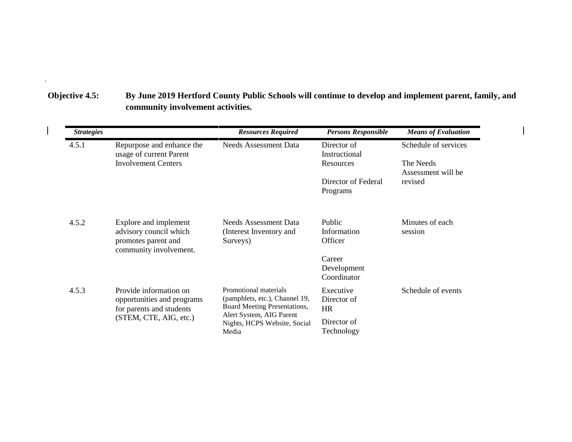| Objective 4.5: | By June 2019 Hertford County Public Schools will continue to develop and implement parent, family, and |
|----------------|--------------------------------------------------------------------------------------------------------|
|                | community involvement activities.                                                                      |

 $\mathbf{H}^{\text{max}}$  and  $\mathbf{H}^{\text{max}}$  and  $\mathbf{H}^{\text{max}}$ 

 $\begin{array}{c} \hline \end{array}$ 

| <b>Strategies</b> |                                                                                                  | <b>Resources Required</b>                                                               | <b>Persons Responsible</b>           | <b>Means of Evaluation</b>      |
|-------------------|--------------------------------------------------------------------------------------------------|-----------------------------------------------------------------------------------------|--------------------------------------|---------------------------------|
| 4.5.1             | Repurpose and enhance the<br>usage of current Parent                                             | <b>Needs Assessment Data</b>                                                            | Director of<br>Instructional         | Schedule of services            |
|                   | <b>Involvement Centers</b>                                                                       |                                                                                         | Resources                            | The Needs<br>Assessment will be |
|                   |                                                                                                  |                                                                                         | Director of Federal<br>Programs      | revised                         |
| 4.5.2             | Explore and implement<br>advisory council which<br>promotes parent and<br>community involvement. | Needs Assessment Data<br>(Interest Inventory and<br>Surveys)                            | Public<br>Information<br>Officer     | Minutes of each<br>session      |
|                   |                                                                                                  |                                                                                         | Career<br>Development<br>Coordinator |                                 |
| 4.5.3             | Provide information on<br>opportunities and programs<br>for parents and students                 | Promotional materials<br>(pamphlets, etc.), Channel 19,<br>Board Meeting Presentations, | Executive<br>Director of<br>HR       | Schedule of events              |
|                   | (STEM, CTE, AIG, etc.)                                                                           | Alert System, AIG Parent<br>Nights, HCPS Website, Social<br>Media                       | Director of<br>Technology            |                                 |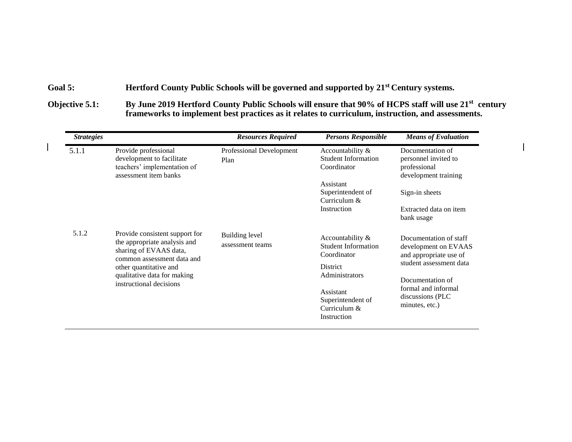### Goal 5: **Hertford County Public Schools will be governed and supported by 21<sup>st</sup> Century systems.**

**Objective 5.1: By June 2019 Hertford County Public Schools will ensure that 90% of HCPS staff will use 21st century frameworks to implement best practices as it relates to curriculum, instruction, and assessments.**

| <b>Strategies</b> |                                                                                                                                                                                                            | <b>Resources Required</b>          | <b>Persons Responsible</b>                                                                                                                                   | <b>Means of Evaluation</b>                                                                                                                                                            |
|-------------------|------------------------------------------------------------------------------------------------------------------------------------------------------------------------------------------------------------|------------------------------------|--------------------------------------------------------------------------------------------------------------------------------------------------------------|---------------------------------------------------------------------------------------------------------------------------------------------------------------------------------------|
| 5.1.1             | Provide professional<br>development to facilitate<br>teachers' implementation of<br>assessment item banks                                                                                                  | Professional Development<br>Plan   | Accountability &<br><b>Student Information</b><br>Coordinator<br>Assistant<br>Superintendent of<br>Curriculum $\&$<br>Instruction                            | Documentation of<br>personnel invited to<br>professional<br>development training<br>Sign-in sheets<br>Extracted data on item<br>bank usage                                            |
| 5.1.2             | Provide consistent support for<br>the appropriate analysis and<br>sharing of EVAAS data,<br>common assessment data and<br>other quantitative and<br>qualitative data for making<br>instructional decisions | Building level<br>assessment teams | Accountability &<br><b>Student Information</b><br>Coordinator<br>District<br>Administrators<br>Assistant<br>Superintendent of<br>Curriculum &<br>Instruction | Documentation of staff<br>development on EVAAS<br>and appropriate use of<br>student assessment data<br>Documentation of<br>formal and informal<br>discussions (PLC)<br>minutes, etc.) |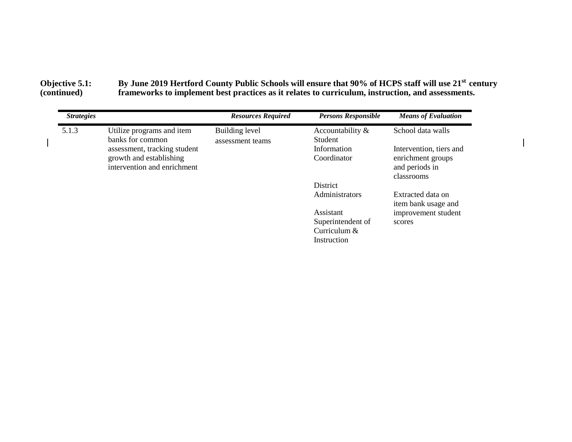#### **Objective 5.1: By June 2019 Hertford County Public Schools will ensure that 90% of HCPS staff will use 21st century (continued) frameworks to implement best practices as it relates to curriculum, instruction, and assessments.**

| <b>Strategies</b> |                                                                                        | <b>Resources Required</b> | <b>Persons Responsible</b>  | <b>Means of Evaluation</b>                        |
|-------------------|----------------------------------------------------------------------------------------|---------------------------|-----------------------------|---------------------------------------------------|
| 5.1.3             | Utilize programs and item                                                              | Building level            | Accountability &            | School data walls                                 |
|                   | banks for common                                                                       | assessment teams          | Student                     |                                                   |
|                   | assessment, tracking student<br>growth and establishing<br>intervention and enrichment |                           | Information                 | Intervention, tiers and                           |
|                   |                                                                                        |                           | Coordinator                 | enrichment groups<br>and periods in<br>classrooms |
|                   |                                                                                        |                           | <b>District</b>             |                                                   |
|                   |                                                                                        |                           | Administrators              | Extracted data on<br>item bank usage and          |
|                   |                                                                                        |                           | Assistant                   | improvement student                               |
|                   |                                                                                        |                           | Superintendent of           | scores                                            |
|                   |                                                                                        |                           | Curriculum &<br>Instruction |                                                   |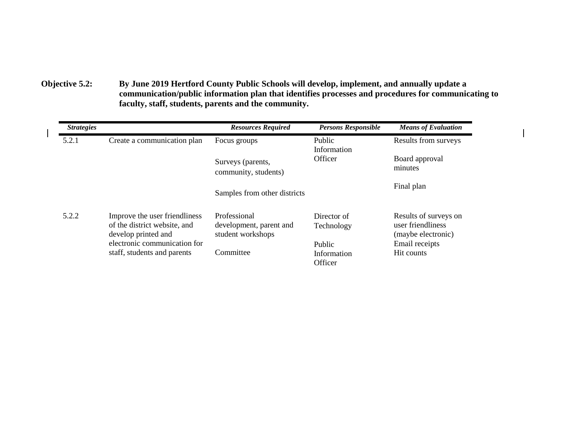**Objective 5.2: By June 2019 Hertford County Public Schools will develop, implement, and annually update a communication/public information plan that identifies processes and procedures for communicating to faculty, staff, students, parents and the community.**

| <b>Strategies</b> |                                                                                      | <b>Resources Required</b>                                    | <b>Persons Responsible</b>       | <b>Means of Evaluation</b>                                       |
|-------------------|--------------------------------------------------------------------------------------|--------------------------------------------------------------|----------------------------------|------------------------------------------------------------------|
| 5.2.1             | Create a communication plan                                                          | Focus groups                                                 | <b>Public</b><br>Information     | Results from surveys                                             |
|                   |                                                                                      | Surveys (parents,<br>community, students)                    | Officer                          | Board approval<br>minutes                                        |
|                   |                                                                                      | Samples from other districts                                 |                                  | Final plan                                                       |
| 5.2.2             | Improve the user friendliness<br>of the district website, and<br>develop printed and | Professional<br>development, parent and<br>student workshops | Director of<br>Technology        | Results of surveys on<br>user friendliness<br>(maybe electronic) |
|                   | electronic communication for<br>staff, students and parents                          | Committee                                                    | Public<br>Information<br>Officer | Email receipts<br>Hit counts                                     |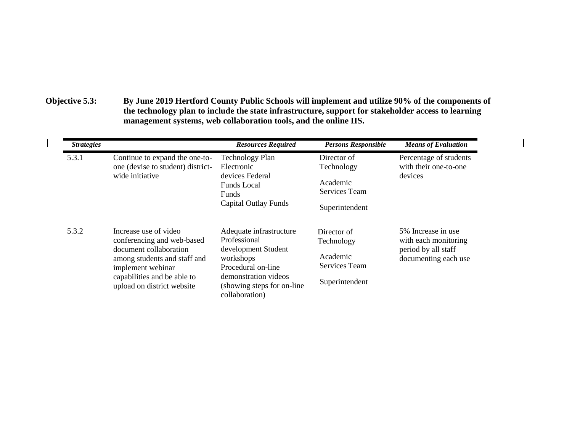**Objective 5.3: By June 2019 Hertford County Public Schools will implement and utilize 90% of the components of the technology plan to include the state infrastructure, support for stakeholder access to learning management systems, web collaboration tools, and the online IIS.**

| <i><b>Strategies</b></i> |                                                                                                                                                                                                 | <b>Resources Required</b>                                                                                                                                                  | <b>Persons Responsible</b>                                                      | <b>Means of Evaluation</b>                                                                |
|--------------------------|-------------------------------------------------------------------------------------------------------------------------------------------------------------------------------------------------|----------------------------------------------------------------------------------------------------------------------------------------------------------------------------|---------------------------------------------------------------------------------|-------------------------------------------------------------------------------------------|
| 5.3.1                    | Continue to expand the one-to-<br>one (devise to student) district-<br>wide initiative                                                                                                          | <b>Technology Plan</b><br>Electronic<br>devices Federal<br><b>Funds Local</b><br><b>Funds</b><br><b>Capital Outlay Funds</b>                                               | Director of<br>Technology<br>Academic<br><b>Services Team</b><br>Superintendent | Percentage of students<br>with their one-to-one<br>devices                                |
| 5.3.2                    | Increase use of video<br>conferencing and web-based<br>document collaboration<br>among students and staff and<br>implement webinar<br>capabilities and be able to<br>upload on district website | Adequate infrastructure<br>Professional<br>development Student<br>workshops<br>Procedural on-line<br>demonstration videos<br>(showing steps for on-line)<br>collaboration) | Director of<br>Technology<br>Academic<br>Services Team<br>Superintendent        | 5% Increase in use<br>with each monitoring<br>period by all staff<br>documenting each use |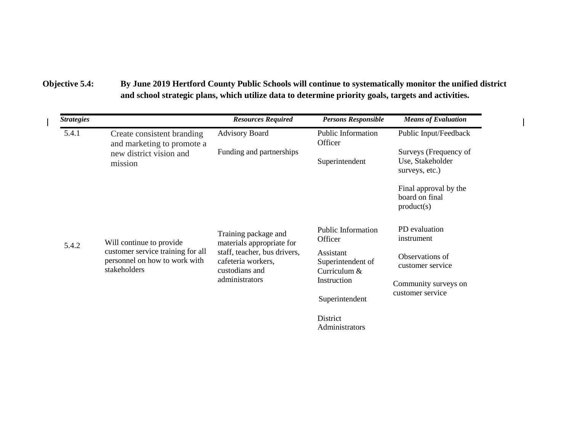# **Objective 5.4: By June 2019 Hertford County Public Schools will continue to systematically monitor the unified district and school strategic plans, which utilize data to determine priority goals, targets and activities.**

|                                                                                                                | <b>Resources Required</b>                                                                                                                   | <b>Persons Responsible</b>                                      | <b>Means of Evaluation</b>                                  |
|----------------------------------------------------------------------------------------------------------------|---------------------------------------------------------------------------------------------------------------------------------------------|-----------------------------------------------------------------|-------------------------------------------------------------|
| Create consistent branding                                                                                     | <b>Advisory Board</b>                                                                                                                       | Public Information<br>Officer                                   | Public Input/Feedback                                       |
| new district vision and<br>mission                                                                             | Funding and partnerships                                                                                                                    | Superintendent                                                  | Surveys (Frequency of<br>Use, Stakeholder<br>surveys, etc.) |
|                                                                                                                |                                                                                                                                             |                                                                 | Final approval by the<br>board on final<br>product(s)       |
| Will continue to provide<br>customer service training for all<br>personnel on how to work with<br>stakeholders | Training package and<br>materials appropriate for<br>staff, teacher, bus drivers,<br>cafeteria workers,<br>custodians and<br>administrators | Public Information<br>Officer                                   | PD evaluation<br>instrument                                 |
|                                                                                                                |                                                                                                                                             | Assistant<br>Superintendent of<br>Curriculum $&$<br>Instruction | Observations of<br>customer service                         |
|                                                                                                                |                                                                                                                                             |                                                                 | Community surveys on<br>customer service                    |
|                                                                                                                |                                                                                                                                             | Superintendent                                                  |                                                             |
|                                                                                                                |                                                                                                                                             | District<br>Administrators                                      |                                                             |
|                                                                                                                | and marketing to promote a                                                                                                                  |                                                                 |                                                             |